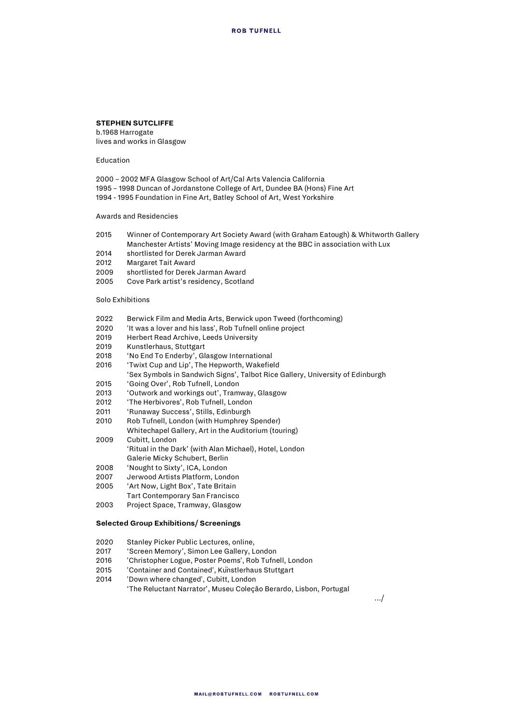## **STEPHEN SUTCLIFFE**

b.1968 Harrogate lives and works in Glasgow

Education

2000 – 2002 MFA Glasgow School of Art/Cal Arts Valencia California 1995 – 1998 Duncan of Jordanstone College of Art, Dundee BA (Hons) Fine Art 1994 - 1995 Foundation in Fine Art, Batley School of Art, West Yorkshire

Awards and Residencies

- 2015 Winner of Contemporary Art Society Award (with Graham Eatough) & Whitworth Gallery Manchester Artists' Moving Image residency at the BBC in association with Lux
- 2014 shortlisted for Derek Jarman Award
- 2012 Margaret Tait Award
- 2009 shortlisted for Derek Jarman Award
- 2005 Cove Park artist's residency, Scotland

## Solo Exhibitions

- 2022 Berwick Film and Media Arts, Berwick upon Tweed (forthcoming)
- 2020 'It was a lover and his lass', Rob Tufnell online project
- 2019 Herbert Read Archive, Leeds University
- 2019 Kunstlerhaus, Stuttgart<br>2018 'No End To Enderby' Gl
- 'No End To Enderby', Glasgow International
- 2016 'Twixt Cup and Lip', The Hepworth, Wakefield
- 'Sex Symbols in Sandwich Signs', Talbot Rice Gallery, University of Edinburgh
- 2015 'Going Over', Rob Tufnell, London
- 2013 'Outwork and workings out', Tramway, Glasgow
- 2012 'The Herbivores', Rob Tufnell, London
- 2011 'Runaway Success', Stills, Edinburgh
- 2010 Rob Tufnell, London (with Humphrey Spender) Whitechapel Gallery, Art in the Auditorium (touring) 2009 Cubitt, London
- 'Ritual in the Dark' (with Alan Michael), Hotel, London Galerie Micky Schubert, Berlin
- 2008 'Nought to Sixty', ICA, London
- 2007 Jerwood Artists Platform, London
- 2005 'Art Now, Light Box', Tate Britain
- Tart Contemporary San Francisco
- 2003 Project Space, Tramway, Glasgow

## **Selected Group Exhibitions/ Screenings**

- 2020 Stanley Picker Public Lectures, online,<br>2017 Screen Memory', Simon Lee Gallery, L
- 'Screen Memory', Simon Lee Gallery, London
- 2016 'Christopher Logue, Poster Poems', Rob Tufnell, London
- 'Container and Contained', Kunstlerhaus Stuttgart
- 2014 'Down where changed', Cubitt, London 'The Reluctant Narrator', Museu Coleção Berardo, Lisbon, Portugal

…/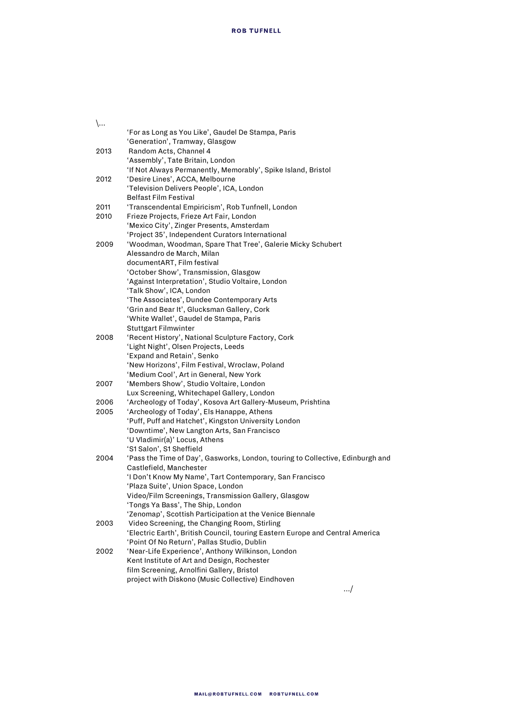|--|--|

|      | 'For as Long as You Like', Gaudel De Stampa, Paris<br>'Generation', Tramway, Glasgow                     |
|------|----------------------------------------------------------------------------------------------------------|
| 2013 | Random Acts, Channel 4                                                                                   |
|      | 'Assembly', Tate Britain, London                                                                         |
|      | 'If Not Always Permanently, Memorably', Spike Island, Bristol                                            |
| 2012 | 'Desire Lines', ACCA, Melbourne                                                                          |
|      | 'Television Delivers People', ICA, London                                                                |
|      | <b>Belfast Film Festival</b>                                                                             |
| 2011 | 'Transcendental Empiricism', Rob Tunfnell, London                                                        |
| 2010 | Frieze Projects, Frieze Art Fair, London                                                                 |
|      | 'Mexico City', Zinger Presents, Amsterdam                                                                |
|      | 'Project 35', Independent Curators International                                                         |
| 2009 | 'Woodman, Woodman, Spare That Tree', Galerie Micky Schubert                                              |
|      | Alessandro de March, Milan                                                                               |
|      | documentART, Film festival                                                                               |
|      | 'October Show', Transmission, Glasgow                                                                    |
|      | 'Against Interpretation', Studio Voltaire, London                                                        |
|      | 'Talk Show', ICA, London                                                                                 |
|      | 'The Associates', Dundee Contemporary Arts                                                               |
|      | 'Grin and Bear It', Glucksman Gallery, Cork<br>'White Wallet', Gaudel de Stampa, Paris                   |
|      | Stuttgart Filmwinter                                                                                     |
| 2008 | 'Recent History', National Sculpture Factory, Cork                                                       |
|      | 'Light Night', Olsen Projects, Leeds                                                                     |
|      | 'Expand and Retain', Senko                                                                               |
|      | 'New Horizons', Film Festival, Wroclaw, Poland                                                           |
|      | 'Medium Cool', Art in General, New York                                                                  |
| 2007 | 'Members Show', Studio Voltaire, London                                                                  |
|      | Lux Screening, Whitechapel Gallery, London                                                               |
| 2006 | 'Archeology of Today', Kosova Art Gallery-Museum, Prishtina                                              |
| 2005 | 'Archeology of Today', Els Hanappe, Athens                                                               |
|      | 'Puff, Puff and Hatchet', Kingston University London                                                     |
|      | 'Downtime', New Langton Arts, San Francisco                                                              |
|      | 'U Vladimir(a)' Locus, Athens                                                                            |
|      | 'S1 Salon', S1 Sheffield                                                                                 |
| 2004 | 'Pass the Time of Day', Gasworks, London, touring to Collective, Edinburgh and                           |
|      | Castlefield, Manchester                                                                                  |
|      | 'I Don't Know My Name', Tart Contemporary, San Francisco                                                 |
|      | 'Plaza Suite', Union Space, London                                                                       |
|      | Video/Film Screenings, Transmission Gallery, Glasgow                                                     |
|      | 'Tongs Ya Bass', The Ship, London                                                                        |
|      | 'Zenomap', Scottish Participation at the Venice Biennale<br>Video Screening, the Changing Room, Stirling |
| 2003 | 'Electric Earth', British Council, touring Eastern Europe and Central America                            |
|      | 'Point Of No Return', Pallas Studio, Dublin                                                              |
| 2002 | 'Near-Life Experience', Anthony Wilkinson, London                                                        |
|      | Kent Institute of Art and Design, Rochester                                                              |
|      | film Screening, Arnolfini Gallery, Bristol                                                               |
|      | project with Diskono (Music Collective) Eindhoven                                                        |
|      |                                                                                                          |

…/